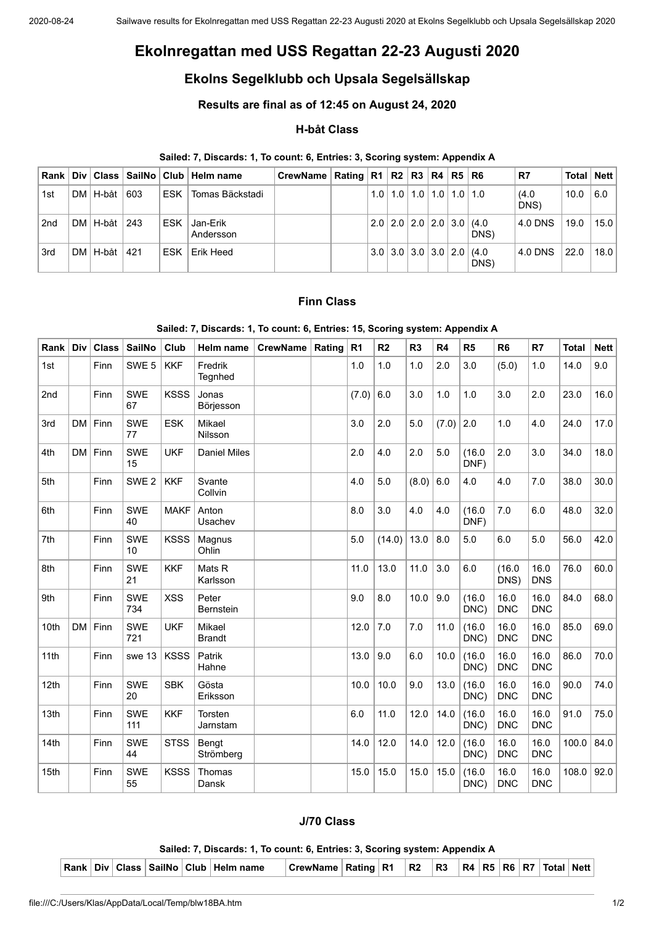# **Ekolnregattan med USS Regattan 22-23 Augusti 2020**

# **Ekolns Segelklubb och Upsala Segelsällskap**

# **Results are final as of 12:45 on August 24, 2020**

## **H-båt Class**

#### **Sailed: 7, Discards: 1, To count: 6, Entries: 3, Scoring system: Appendix A**

| Rank l          |          |     |            | Div   Class   SailNo   Club   Helm name | CrewName   Rating   R1   R2   R3   R4   R5   R6 |  |                                     |  |                                                         | R7            | . Total ∣ Nett <sup>∣</sup> |      |
|-----------------|----------|-----|------------|-----------------------------------------|-------------------------------------------------|--|-------------------------------------|--|---------------------------------------------------------|---------------|-----------------------------|------|
| 1st             | DM H-båt | 603 | ESK        | Tomas Bäckstadi                         |                                                 |  | $1.0$   1.0   1.0   1.0   1.0   1.0 |  |                                                         | (4.0)<br>DNS) | 10.0                        | 6.0  |
| 2 <sub>nd</sub> | DM H-båt | 243 | <b>ESK</b> | Jan-Erik<br>Andersson                   |                                                 |  |                                     |  | $2.0$   2.0   2.0   2.0   3.0   (4.0<br>DNS)            | 4.0 DNS       | 19.0                        | 15.0 |
| 3rd             | DM H-båt | 421 | <b>ESK</b> | l Erik Heed                             |                                                 |  |                                     |  | $3.0$   $3.0$   $3.0$   $3.0$   $2.0$   $(4.0)$<br>DNS) | 4.0 DNS       | 22.0                        | 18.0 |

### **Finn Class**

#### **Sailed: 7, Discards: 1, To count: 6, Entries: 15, Scoring system: Appendix A**

| Rank             | Div       | <b>Class</b> | SailNo            | Club        | Helm name                 | <b>CrewName</b> | Rating | R <sub>1</sub> | R <sub>2</sub> | R <sub>3</sub> | R4    | R5             | R <sub>6</sub>     | R7                 | <b>Total</b> | <b>Nett</b> |
|------------------|-----------|--------------|-------------------|-------------|---------------------------|-----------------|--------|----------------|----------------|----------------|-------|----------------|--------------------|--------------------|--------------|-------------|
| 1st              |           | Finn         | SWE <sub>5</sub>  | <b>KKF</b>  | Fredrik<br>Tegnhed        |                 |        | 1.0            | 1.0            | 1.0            | 2.0   | 3.0            | (5.0)              | 1.0                | 14.0         | 9.0         |
| 2nd              |           | Finn         | <b>SWE</b><br>67  | <b>KSSS</b> | Jonas<br>Börjesson        |                 |        | (7.0)          | 6.0            | 3.0            | 1.0   | 1.0            | 3.0                | 2.0                | 23.0         | 16.0        |
| 3rd              | DM        | Finn         | <b>SWE</b><br>77  | <b>ESK</b>  | Mikael<br>Nilsson         |                 |        | 3.0            | 2.0            | 5.0            | (7.0) | 2.0            | 1.0                | 4.0                | 24.0         | 17.0        |
| 4th              | DM        | Finn         | <b>SWE</b><br>15  | <b>UKF</b>  | <b>Daniel Miles</b>       |                 |        | 2.0            | 4.0            | 2.0            | 5.0   | (16.0)<br>DNF) | 2.0                | 3.0                | 34.0         | 18.0        |
| 5th              |           | Finn         | SWE <sub>2</sub>  | <b>KKF</b>  | Svante<br>Collvin         |                 |        | 4.0            | 5.0            | (8.0)          | 6.0   | 4.0            | 4.0                | 7.0                | 38.0         | 30.0        |
| 6th              |           | Finn         | <b>SWE</b><br>40  | <b>MAKF</b> | Anton<br>Usachev          |                 |        | 8.0            | 3.0            | 4.0            | 4.0   | (16.0)<br>DNF) | 7.0                | 6.0                | 48.0         | 32.0        |
| 7th              |           | Finn         | <b>SWE</b><br>10  | <b>KSSS</b> | Magnus<br>Ohlin           |                 |        | 5.0            | (14.0)         | 13.0           | 8.0   | 5.0            | 6.0                | 5.0                | 56.0         | 42.0        |
| 8th              |           | Finn         | <b>SWE</b><br>21  | <b>KKF</b>  | Mats R<br>Karlsson        |                 |        | 11.0           | 13.0           | 11.0           | 3.0   | 6.0            | (16.0)<br>DNS)     | 16.0<br><b>DNS</b> | 76.0         | 60.0        |
| 9 <sub>th</sub>  |           | Finn         | <b>SWE</b><br>734 | <b>XSS</b>  | Peter<br><b>Bernstein</b> |                 |        | 9.0            | 8.0            | 10.0           | 9.0   | (16.0)<br>DNC) | 16.0<br><b>DNC</b> | 16.0<br><b>DNC</b> | 84.0         | 68.0        |
| 10th             | <b>DM</b> | Finn         | <b>SWE</b><br>721 | <b>UKF</b>  | Mikael<br><b>Brandt</b>   |                 |        | 12.0           | 7.0            | 7.0            | 11.0  | (16.0)<br>DNC) | 16.0<br><b>DNC</b> | 16.0<br><b>DNC</b> | 85.0         | 69.0        |
| 11th             |           | Finn         | swe 13            | <b>KSSS</b> | Patrik<br>Hahne           |                 |        | 13.0           | 9.0            | 6.0            | 10.0  | (16.0)<br>DNC) | 16.0<br><b>DNC</b> | 16.0<br><b>DNC</b> | 86.0         | 70.0        |
| 12 <sub>th</sub> |           | Finn         | <b>SWE</b><br>20  | <b>SBK</b>  | Gösta<br>Eriksson         |                 |        | 10.0           | 10.0           | 9.0            | 13.0  | (16.0)<br>DNC) | 16.0<br><b>DNC</b> | 16.0<br><b>DNC</b> | 90.0         | 74.0        |
| 13th             |           | Finn         | <b>SWE</b><br>111 | <b>KKF</b>  | Torsten<br>Jarnstam       |                 |        | 6.0            | 11.0           | 12.0           | 14.0  | (16.0)<br>DNC) | 16.0<br><b>DNC</b> | 16.0<br><b>DNC</b> | 91.0         | 75.0        |
| 14th             |           | Finn         | <b>SWE</b><br>44  | <b>STSS</b> | Bengt<br>Strömberg        |                 |        | 14.0           | 12.0           | 14.0           | 12.0  | (16.0)<br>DNC) | 16.0<br><b>DNC</b> | 16.0<br><b>DNC</b> | 100.0        | 84.0        |
| 15th             |           | Finn         | <b>SWE</b><br>55  | <b>KSSS</b> | Thomas<br>Dansk           |                 |        | 15.0           | 15.0           | 15.0           | 15.0  | (16.0)<br>DNC) | 16.0<br><b>DNC</b> | 16.0<br><b>DNC</b> | 108.0        | 92.0        |

# **J/70 Class**

**Sailed: 7, Discards: 1, To count: 6, Entries: 3, Scoring system: Appendix A**

|  |  |  |  |  | Rank   Div   Class   SailNo   Club   Helm name | <b>CrewName   Rating   R1</b> |  |  | R2 |  |  |  |  |  | $\ R3\ R4\ R5\ R6\ R7\ Total\ Net1$ |  |
|--|--|--|--|--|------------------------------------------------|-------------------------------|--|--|----|--|--|--|--|--|-------------------------------------|--|
|--|--|--|--|--|------------------------------------------------|-------------------------------|--|--|----|--|--|--|--|--|-------------------------------------|--|